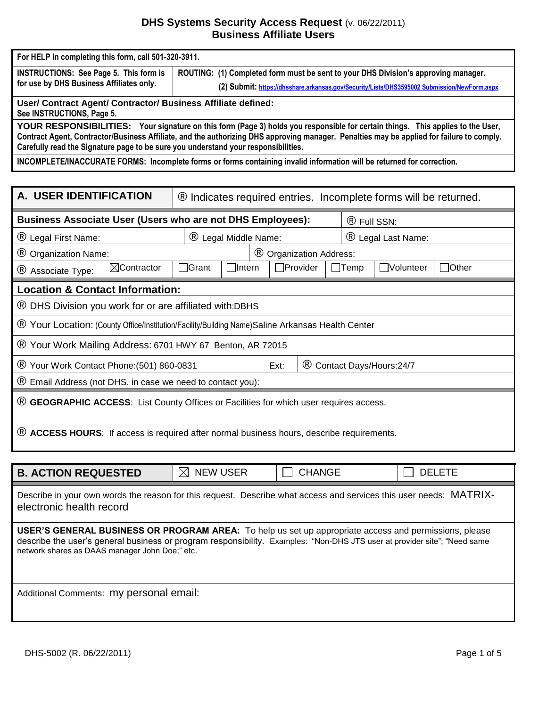# **DHS Systems Security Access Request** (v. 06/22/2011) **Business Affiliate Users**

| For HELP in completing this form, call 501-320-3911.                                                                                                                                                                                                                                                                                                               |                                                                                                                        |  |  |  |  |  |  |  |  |
|--------------------------------------------------------------------------------------------------------------------------------------------------------------------------------------------------------------------------------------------------------------------------------------------------------------------------------------------------------------------|------------------------------------------------------------------------------------------------------------------------|--|--|--|--|--|--|--|--|
| <b>INSTRUCTIONS: See Page 5. This form is</b>                                                                                                                                                                                                                                                                                                                      | ROUTING: (1) Completed form must be sent to your DHS Division's approving manager.                                     |  |  |  |  |  |  |  |  |
| for use by DHS Business Affiliates only.                                                                                                                                                                                                                                                                                                                           | (2) Submit: https://dhsshare.arkansas.gov/Security/Lists/DHS3595002 Submission/NewForm.aspx                            |  |  |  |  |  |  |  |  |
| User/ Contract Agent/ Contractor/ Business Affiliate defined:<br>See INSTRUCTIONS, Page 5.                                                                                                                                                                                                                                                                         |                                                                                                                        |  |  |  |  |  |  |  |  |
| YOUR RESPONSIBILITIES: Your signature on this form (Page 3) holds you responsible for certain things. This applies to the User,<br>Contract Agent, Contractor/Business Affiliate, and the authorizing DHS approving manager. Penalties may be applied for failure to comply.<br>Carefully read the Signature page to be sure you understand your responsibilities. |                                                                                                                        |  |  |  |  |  |  |  |  |
|                                                                                                                                                                                                                                                                                                                                                                    | INCOMPLETE/INACCURATE FORMS: Incomplete forms or forms containing invalid information will be returned for correction. |  |  |  |  |  |  |  |  |
|                                                                                                                                                                                                                                                                                                                                                                    |                                                                                                                        |  |  |  |  |  |  |  |  |
| A. USER IDENTIFICATION                                                                                                                                                                                                                                                                                                                                             | <sup>®</sup> Indicates required entries. Incomplete forms will be returned.                                            |  |  |  |  |  |  |  |  |
| <b>Business Associate User (Users who are not DHS Employees):</b>                                                                                                                                                                                                                                                                                                  | ® Full SSN:                                                                                                            |  |  |  |  |  |  |  |  |
| ® Legal First Name:                                                                                                                                                                                                                                                                                                                                                | ® Legal Middle Name:<br>® Legal Last Name:                                                                             |  |  |  |  |  |  |  |  |
| <sup>®</sup> Organization Name:                                                                                                                                                                                                                                                                                                                                    | <sup>®</sup> Organization Address:                                                                                     |  |  |  |  |  |  |  |  |
| $\boxtimes$ Contractor<br>® Associate Type:                                                                                                                                                                                                                                                                                                                        | <b>Grant</b><br>$\Box$ Intern<br>$\Box$ Provider<br>□Volunteer<br>$\Box$ Other<br>$\Box$ Temp                          |  |  |  |  |  |  |  |  |
| <b>Location &amp; Contact Information:</b>                                                                                                                                                                                                                                                                                                                         |                                                                                                                        |  |  |  |  |  |  |  |  |
| ® DHS Division you work for or are affiliated with:DBHS                                                                                                                                                                                                                                                                                                            |                                                                                                                        |  |  |  |  |  |  |  |  |
|                                                                                                                                                                                                                                                                                                                                                                    | ® Your Location: (County Office/Institution/Facility/Building Name)Saline Arkansas Health Center                       |  |  |  |  |  |  |  |  |
|                                                                                                                                                                                                                                                                                                                                                                    | ® Your Work Mailing Address: 6701 HWY 67 Benton, AR 72015                                                              |  |  |  |  |  |  |  |  |
| ® Your Work Contact Phone: (501) 860-0831                                                                                                                                                                                                                                                                                                                          | $\circledR$<br>Contact Days/Hours: 24/7<br>Ext:                                                                        |  |  |  |  |  |  |  |  |
| <sup>®</sup> Email Address (not DHS, in case we need to contact you):                                                                                                                                                                                                                                                                                              |                                                                                                                        |  |  |  |  |  |  |  |  |
| <sup>®</sup> GEOGRAPHIC ACCESS: List County Offices or Facilities for which user requires access.                                                                                                                                                                                                                                                                  |                                                                                                                        |  |  |  |  |  |  |  |  |
|                                                                                                                                                                                                                                                                                                                                                                    | ® ACCESS HOURS: If access is required after normal business hours, describe requirements.                              |  |  |  |  |  |  |  |  |
|                                                                                                                                                                                                                                                                                                                                                                    |                                                                                                                        |  |  |  |  |  |  |  |  |
| <b>B. ACTION REQUESTED</b>                                                                                                                                                                                                                                                                                                                                         | <b>NEW USER</b><br><b>CHANGE</b><br><b>DELETE</b><br>$\boxtimes$                                                       |  |  |  |  |  |  |  |  |
| Describe in your own words the reason for this request. Describe what access and services this user needs: MATRIX-<br>electronic health record                                                                                                                                                                                                                     |                                                                                                                        |  |  |  |  |  |  |  |  |
| <b>USER'S GENERAL BUSINESS OR PROGRAM AREA:</b> To help us set up appropriate access and permissions, please<br>describe the user's general business or program responsibility. Examples: "Non-DHS JTS user at provider site"; "Need same<br>network shares as DAAS manager John Doe;" etc.                                                                        |                                                                                                                        |  |  |  |  |  |  |  |  |
| Additional Comments: my personal email:                                                                                                                                                                                                                                                                                                                            |                                                                                                                        |  |  |  |  |  |  |  |  |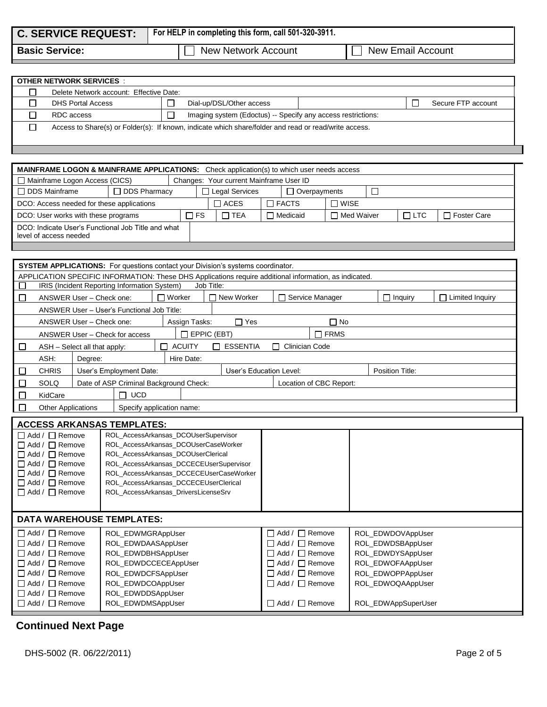| <b>C. SERVICE REQUEST:</b> | <sup>1</sup> For HELP in completing this form, call 501-320-3911. |
|----------------------------|-------------------------------------------------------------------|
|                            |                                                                   |

**Basic Service:** New Network Account New Email Account

| <b>OTHER NETWORK SERVICES</b>           |  |                                                                                                       |  |  |                    |  |
|-----------------------------------------|--|-------------------------------------------------------------------------------------------------------|--|--|--------------------|--|
| Delete Network account: Effective Date: |  |                                                                                                       |  |  |                    |  |
| <b>DHS Portal Access</b>                |  | Dial-up/DSL/Other access                                                                              |  |  | Secure FTP account |  |
| RDC access                              |  | Imaging system (Edoctus) -- Specify any access restrictions:                                          |  |  |                    |  |
|                                         |  | Access to Share(s) or Folder(s): If known, indicate which share/folder and read or read/write access. |  |  |                    |  |

| <b>MAINFRAME LOGON &amp; MAINFRAME APPLICATIONS:</b> Check application(s) to which user needs access |                     |                                         |                                            |                                               |  |            |               |  |  |  |
|------------------------------------------------------------------------------------------------------|---------------------|-----------------------------------------|--------------------------------------------|-----------------------------------------------|--|------------|---------------|--|--|--|
| $\Box$ Mainframe Logon Access (CICS)<br>Changes: Your current Mainframe User ID                      |                     |                                         |                                            |                                               |  |            |               |  |  |  |
| □ DDS Mainframe                                                                                      | $\Box$ DDS Pharmacy | □ Legal Services<br>$\Box$ Overpayments |                                            |                                               |  |            |               |  |  |  |
| DCO: Access needed for these applications                                                            |                     |                                         | $\Box$ WISE<br>$\Box$ ACES<br>$\Box$ FACTS |                                               |  |            |               |  |  |  |
| DCO: User works with these programs                                                                  |                     |                                         | T FS                                       | $\Box$ TEA<br>$\Box$ Med Waiver<br>□ Medicaid |  | $\Box$ LTC | □ Foster Care |  |  |  |
| DCO: Indicate User's Functional Job Title and what<br>level of access needed                         |                     |                                         |                                            |                                               |  |            |               |  |  |  |

|   | <b>SYSTEM APPLICATIONS:</b> For questions contact your Division's systems coordinator.                 |                                                                       |       |                 |                    |  |            |  |                         |                |                           |
|---|--------------------------------------------------------------------------------------------------------|-----------------------------------------------------------------------|-------|-----------------|--------------------|--|------------|--|-------------------------|----------------|---------------------------|
|   | APPLICATION SPECIFIC INFORMATION: These DHS Applications require additional information, as indicated. |                                                                       |       |                 |                    |  |            |  |                         |                |                           |
|   | IRIS (Incident Reporting Information System)<br>Job Title:                                             |                                                                       |       |                 |                    |  |            |  |                         |                |                           |
| E |                                                                                                        | ANSWER User - Check one:                                              |       | $\sqcap$ Worker |                    |  | New Worker |  | Service Manager         | $\Box$ Inquiry | $\Box$<br>Limited Inquiry |
|   |                                                                                                        | ANSWER User - User's Functional Job Title:                            |       |                 |                    |  |            |  |                         |                |                           |
|   |                                                                                                        | ANSWER User - Check one:                                              |       |                 | Assign Tasks:      |  | $\Box$ Yes |  | $\Box$ No               |                |                           |
|   |                                                                                                        | ANSWER User - Check for access                                        |       |                 | $\Box$ EPPIC (EBT) |  |            |  | $\Box$ FRMS             |                |                           |
|   | <b>ACUITY</b><br><b>ESSENTIA</b><br>ASH - Select all that apply:<br>Clinician Code<br>$\mathbf{I}$     |                                                                       |       |                 |                    |  |            |  |                         |                |                           |
|   | ASH:<br>Hire Date:<br>Degree:                                                                          |                                                                       |       |                 |                    |  |            |  |                         |                |                           |
|   | <b>CHRIS</b>                                                                                           | User's Education Level:<br>Position Title:<br>User's Employment Date: |       |                 |                    |  |            |  |                         |                |                           |
|   | <b>SOLQ</b>                                                                                            | Date of ASP Criminal Background Check:                                |       |                 |                    |  |            |  | Location of CBC Report: |                |                           |
|   | KidCare                                                                                                |                                                                       | ∩ ∪cd |                 |                    |  |            |  |                         |                |                           |
|   | <b>Other Applications</b><br>Specify application name:                                                 |                                                                       |       |                 |                    |  |            |  |                         |                |                           |

|                            | <b>ACCESS ARKANSAS TEMPLATES:</b>       |  |  |  |  |  |  |
|----------------------------|-----------------------------------------|--|--|--|--|--|--|
| $\Box$ Add / $\Box$ Remove | ROL_AccessArkansas_DCOUserSupervisor    |  |  |  |  |  |  |
| $\Box$ Add / $\Box$ Remove | ROL AccessArkansas DCOUserCaseWorker    |  |  |  |  |  |  |
| $\Box$ Add / $\Box$ Remove | ROL AccessArkansas DCOUserClerical      |  |  |  |  |  |  |
| $\Box$ Add / $\Box$ Remove | ROL AccessArkansas DCCECEUserSupervisor |  |  |  |  |  |  |
| $\Box$ Add / $\Box$ Remove | ROL AccessArkansas DCCECEUserCaseWorker |  |  |  |  |  |  |
| $\Box$ Add / $\Box$ Remove | ROL AccessArkansas DCCECEUserClerical   |  |  |  |  |  |  |
| $\Box$ Add / $\Box$ Remove | ROL AccessArkansas DriversLicenseSrv    |  |  |  |  |  |  |
|                            |                                         |  |  |  |  |  |  |
|                            |                                         |  |  |  |  |  |  |

# **DATA WAREHOUSE TEMPLATES:**

| $\Box$ Add / $\Box$ Remove | ROL EDWMGRAppUser    | $\Box$ Add / $\Box$ Remove | ROL EDWDOVAppUser   |
|----------------------------|----------------------|----------------------------|---------------------|
| $\Box$ Add / $\Box$ Remove | ROL EDWDAASAppUser   | $\Box$ Add / $\Box$ Remove | ROL EDWDSBAppUser   |
| $\Box$ Add / $\Box$ Remove | ROL EDWDBHSAppUser   | $\Box$ Add / $\Box$ Remove | ROL EDWDYSAppUser   |
| $\Box$ Add / $\Box$ Remove | ROL EDWDCCECEAppUser | $\Box$ Add / $\Box$ Remove | ROL EDWOFAAppUser   |
| $\Box$ Add / $\Box$ Remove | ROL EDWDCFSAppUser   | $\Box$ Add / $\Box$ Remove | ROL EDWOPPAppUser   |
| $\Box$ Add / $\Box$ Remove | ROL EDWDCOAppUser    | $\Box$ Add / $\Box$ Remove | ROL EDWOQAAppUser   |
| $\Box$ Add / $\Box$ Remove | ROL_EDWDDSAppUser    |                            |                     |
| $\Box$ Add / $\Box$ Remove | ROL EDWDMSAppUser    | $\Box$ Add / $\Box$ Remove | ROL EDWAppSuperUser |

# **Continued Next Page**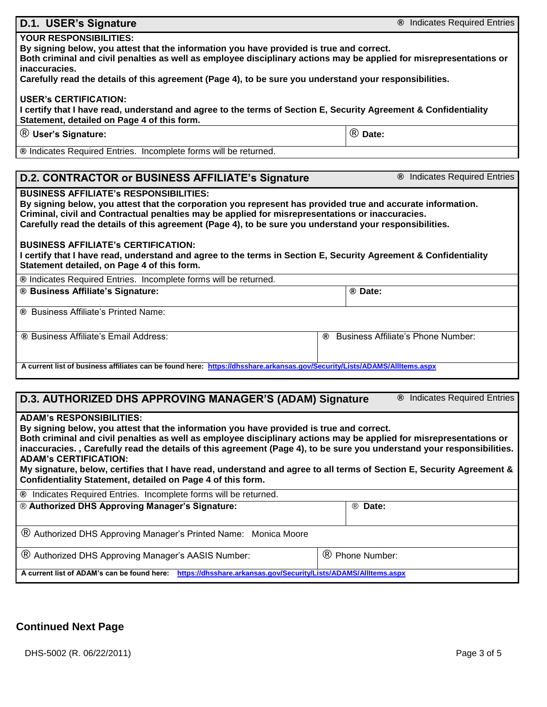r

| D.1. USER's Signature                                                                                                                                                                                                                                                                                                                                                                                                                                                                                                                                                                                | <sup>®</sup> Indicates Required Entries |  |  |  |  |  |
|------------------------------------------------------------------------------------------------------------------------------------------------------------------------------------------------------------------------------------------------------------------------------------------------------------------------------------------------------------------------------------------------------------------------------------------------------------------------------------------------------------------------------------------------------------------------------------------------------|-----------------------------------------|--|--|--|--|--|
| <b>YOUR RESPONSIBILITIES:</b>                                                                                                                                                                                                                                                                                                                                                                                                                                                                                                                                                                        |                                         |  |  |  |  |  |
| By signing below, you attest that the information you have provided is true and correct.<br>Both criminal and civil penalties as well as employee disciplinary actions may be applied for misrepresentations or<br>inaccuracies.                                                                                                                                                                                                                                                                                                                                                                     |                                         |  |  |  |  |  |
| Carefully read the details of this agreement (Page 4), to be sure you understand your responsibilities.                                                                                                                                                                                                                                                                                                                                                                                                                                                                                              |                                         |  |  |  |  |  |
| <b>USER's CERTIFICATION:</b><br>I certify that I have read, understand and agree to the terms of Section E, Security Agreement & Confidentiality<br>Statement, detailed on Page 4 of this form.                                                                                                                                                                                                                                                                                                                                                                                                      |                                         |  |  |  |  |  |
| <sup>®</sup> User's Signature:                                                                                                                                                                                                                                                                                                                                                                                                                                                                                                                                                                       | ® Date:                                 |  |  |  |  |  |
| ® Indicates Required Entries. Incomplete forms will be returned.                                                                                                                                                                                                                                                                                                                                                                                                                                                                                                                                     |                                         |  |  |  |  |  |
|                                                                                                                                                                                                                                                                                                                                                                                                                                                                                                                                                                                                      |                                         |  |  |  |  |  |
| D.2. CONTRACTOR or BUSINESS AFFILIATE's Signature                                                                                                                                                                                                                                                                                                                                                                                                                                                                                                                                                    | <sup>®</sup> Indicates Required Entries |  |  |  |  |  |
| <b>BUSINESS AFFILIATE's RESPONSIBILITIES:</b><br>By signing below, you attest that the corporation you represent has provided true and accurate information.<br>Criminal, civil and Contractual penalties may be applied for misrepresentations or inaccuracies.<br>Carefully read the details of this agreement (Page 4), to be sure you understand your responsibilities.<br><b>BUSINESS AFFILIATE's CERTIFICATION:</b><br>I certify that I have read, understand and agree to the terms in Section E, Security Agreement & Confidentiality<br>Statement detailed, on Page 4 of this form.         |                                         |  |  |  |  |  |
| ® Indicates Required Entries. Incomplete forms will be returned.                                                                                                                                                                                                                                                                                                                                                                                                                                                                                                                                     |                                         |  |  |  |  |  |
| ® Business Affiliate's Signature:                                                                                                                                                                                                                                                                                                                                                                                                                                                                                                                                                                    | ® Date:                                 |  |  |  |  |  |
| ® Business Affiliate's Printed Name:                                                                                                                                                                                                                                                                                                                                                                                                                                                                                                                                                                 |                                         |  |  |  |  |  |
| ® Business Affiliate's Email Address:                                                                                                                                                                                                                                                                                                                                                                                                                                                                                                                                                                | Business Affiliate's Phone Number:<br>® |  |  |  |  |  |
| A current list of business affiliates can be found here: https://dhsshare.arkansas.gov/Security/Lists/ADAMS/AllItems.aspx                                                                                                                                                                                                                                                                                                                                                                                                                                                                            |                                         |  |  |  |  |  |
|                                                                                                                                                                                                                                                                                                                                                                                                                                                                                                                                                                                                      |                                         |  |  |  |  |  |
| D.3. AUTHORIZED DHS APPROVING MANAGER'S (ADAM) Signature                                                                                                                                                                                                                                                                                                                                                                                                                                                                                                                                             | <sup>®</sup> Indicates Required Entries |  |  |  |  |  |
| <b>ADAM's RESPONSIBILITIES:</b><br>By signing below, you attest that the information you have provided is true and correct.<br>Both criminal and civil penalties as well as employee disciplinary actions may be applied for misrepresentations or<br>inaccuracies., Carefully read the details of this agreement (Page 4), to be sure you understand your responsibilities.<br><b>ADAM's CERTIFICATION:</b><br>My signature, below, certifies that I have read, understand and agree to all terms of Section E, Security Agreement &<br>Confidentiality Statement, detailed on Page 4 of this form. |                                         |  |  |  |  |  |
| ® Indicates Required Entries. Incomplete forms will be returned.                                                                                                                                                                                                                                                                                                                                                                                                                                                                                                                                     |                                         |  |  |  |  |  |
| ® Authorized DHS Approving Manager's Signature:                                                                                                                                                                                                                                                                                                                                                                                                                                                                                                                                                      | ® Date:                                 |  |  |  |  |  |
| ® Authorized DHS Approving Manager's Printed Name: Monica Moore                                                                                                                                                                                                                                                                                                                                                                                                                                                                                                                                      |                                         |  |  |  |  |  |
| (B) Authorized DHS Approving Manager's AASIS Number:                                                                                                                                                                                                                                                                                                                                                                                                                                                                                                                                                 | ® Phone Number:                         |  |  |  |  |  |
| A current list of ADAM's can be found here: https://dhsshare.arkansas.gov/Security/Lists/ADAMS/AllItems.aspx                                                                                                                                                                                                                                                                                                                                                                                                                                                                                         |                                         |  |  |  |  |  |

# **Continued Next Page**

DHS-5002 (R. 06/22/2011) 2013 2020 12:00 Page 3 of 5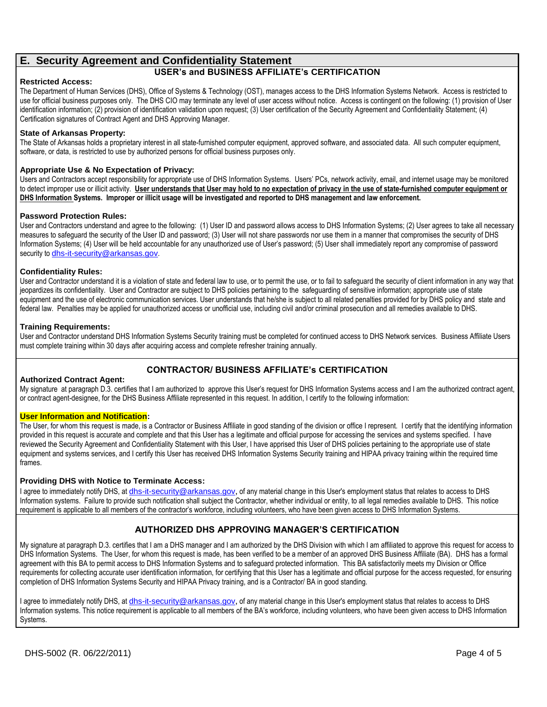# **E. Security Agreement and Confidentiality Statement**

## **USER's and BUSINESS AFFILIATE's CERTIFICATION**

#### **Restricted Access:**

The Department of Human Services (DHS), Office of Systems & Technology (OST), manages access to the DHS Information Systems Network. Access is restricted to use for official business purposes only. The DHS CIO may terminate any level of user access without notice. Access is contingent on the following: (1) provision of User identification information; (2) provision of identification validation upon request; (3) User certification of the Security Agreement and Confidentiality Statement; (4) Certification signatures of Contract Agent and DHS Approving Manager.

#### **State of Arkansas Property:**

The State of Arkansas holds a proprietary interest in all state-furnished computer equipment, approved software, and associated data. All such computer equipment, software, or data, is restricted to use by authorized persons for official business purposes only.

### **Appropriate Use & No Expectation of Privacy:**

Users and Contractors accept responsibility for appropriate use of DHS Information Systems. Users' PCs, network activity, email, and internet usage may be monitored to detect improper use or illicit activity. **User understands that User may hold to no expectation of privacy in the use of state-furnished computer equipment or DHS Information Systems. Improper or illicit usage will be investigated and reported to DHS management and law enforcement.**

#### **Password Protection Rules:**

User and Contractors understand and agree to the following: (1) User ID and password allows access to DHS Information Systems; (2) User agrees to take all necessary measures to safeguard the security of the User ID and password; (3) User will not share passwords nor use them in a manner that compromises the security of DHS Information Systems; (4) User will be held accountable for any unauthorized use of User's password; (5) User shall immediately report any compromise of password security to **[dhs-it-security@arkansas.gov](mailto:dhs-it-security@arkansas.gov).** 

#### **Confidentiality Rules:**

User and Contractor understand it is a violation of state and federal law to use, or to permit the use, or to fail to safeguard the security of client information in any way that jeopardizes its confidentiality. User and Contractor are subject to DHS policies pertaining to the safeguarding of sensitive information; appropriate use of state equipment and the use of electronic communication services. User understands that he/she is subject to all related penalties provided for by DHS policy and state and federal law. Penalties may be applied for unauthorized access or unofficial use, including civil and/or criminal prosecution and all remedies available to DHS.

#### **Training Requirements:**

User and Contractor understand DHS Information Systems Security training must be completed for continued access to DHS Network services. Business Affiliate Users must complete training within 30 days after acquiring access and complete refresher training annually.

## **CONTRACTOR/ BUSINESS AFFILIATE's CERTIFICATION**

#### **Authorized Contract Agent:**

My signature at paragraph D.3. certifies that I am authorized to approve this User's request for DHS Information Systems access and I am the authorized contract agent, or contract agent-designee, for the DHS Business Affiliate represented in this request. In addition, I certify to the following information:

#### **User Information and Notification:**

The User, for whom this request is made, is a Contractor or Business Affiliate in good standing of the division or office I represent. I certify that the identifying information provided in this request is accurate and complete and that this User has a legitimate and official purpose for accessing the services and systems specified. I have reviewed the Security Agreement and Confidentiality Statement with this User, I have apprised this User of DHS policies pertaining to the appropriate use of state equipment and systems services, and I certify this User has received DHS Information Systems Security training and HIPAA privacy training within the required time frames.

#### **Providing DHS with Notice to Terminate Access:**

I agree to immediately notify DHS, at *[dhs-it-security@arkansas.gov](mailto:dhs-it-security@arkansas.gov)*, of any material change in this User's employment status that relates to access to DHS Information systems. Failure to provide such notification shall subject the Contractor, whether individual or entity, to all legal remedies available to DHS. This notice requirement is applicable to all members of the contractor's workforce, including volunteers, who have been given access to DHS Information Systems.

## **AUTHORIZED DHS APPROVING MANAGER'S CERTIFICATION**

My signature at paragraph D.3. certifies that I am a DHS manager and I am authorized by the DHS Division with which I am affiliated to approve this request for access to DHS Information Systems. The User, for whom this request is made, has been verified to be a member of an approved DHS Business Affiliate (BA). DHS has a formal agreement with this BA to permit access to DHS Information Systems and to safeguard protected information. This BA satisfactorily meets my Division or Office requirements for collecting accurate user identification information, for certifying that this User has a legitimate and official purpose for the access requested, for ensuring completion of DHS Information Systems Security and HIPAA Privacy training, and is a Contractor/ BA in good standing.

I agree to immediately notify DHS, at [dhs-it-security@arkansas.gov](mailto:dhs-it-security@arkansas.gov), of any material change in this User's employment status that relates to access to DHS Information systems. This notice requirement is applicable to all members of the BA's workforce, including volunteers, who have been given access to DHS Information Systems.